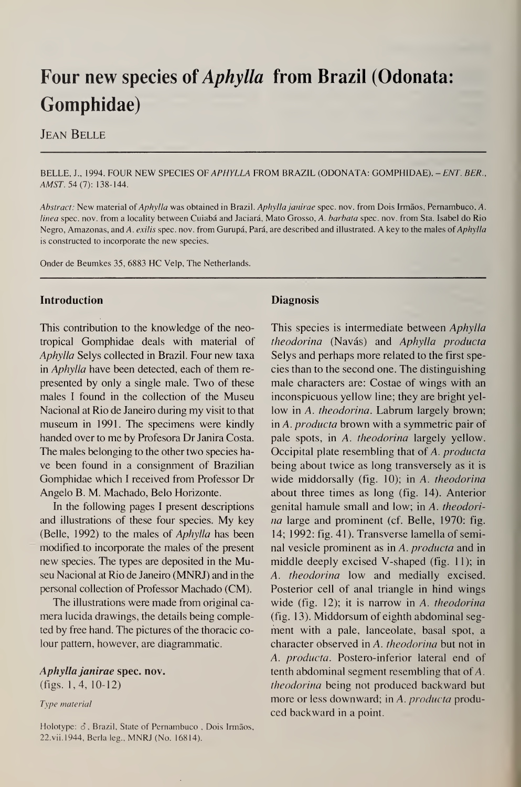# Four new species of Aphylla from Brazil (Odonata: Gomphidae)

Jean Belle

#### BELLE, J., 1994. FOUR NEW SPECIES OF APHYLLA FROM BRAZIL (ODONATA: GOMPHIDAE). - ENT. BER., AMST. 54(7): 138-144.

Abstract: New material of Aphylla was obtained in Brazil. Aphylla janirae spec. nov. from Dois Irmãos, Pernambuco, A. linea spec. nov. from a locality between Cuiabá and Jaciará, Mato Grosso, A. barbata spec. nov. from Sta. Isabel do Rio Negro, Amazonas, and A. exilis spec. nov. from Gurupá, Pará, are described and illustrated. A key to the males of Aphylla is constructed to incorporate the new species.

Onder de Beumkes 35, 6883 HC Yelp, The Netherlands.

This contribution to the knowledge of the neotropical Gomphidae deals with material of Aphylla Selys collected in Brazil, Four new taxa in Aphylla have been detected, each of them represented by only a single male. Two of these males I found in the collection of the Museu Nacional at Rio de Janeiro during my visit to that museum in 1991. The specimens were kindly handed over to me by Profesora Dr Janira Costa. The males belonging to the other two species have been found in a consignment of Brazilian Gomphidae which I received from Professor Dr Angelo B. M. Machado, Belo Horizonte.

### Introduction

In the following pages I present descriptions and illustrations of these four species. My key (Belle, 1992) to the males of Aphylla has been modified to incorporate the males of the present new species. The types are deposited in the Museu Nacional at Rio de Janeiro (MNRJ) and in the personal collection of Professor Machado (CM).

The illustrations were made from original camera lucida drawings, the details being comple-

# **Diagnosis**

ted by free hand. The pictures of the thoracic colour pattern, however, are diagrammatic.

Holotype:  $\delta$ , Brazil, State of Pernambuco, Dois Irmãos, 22.vii.1944, Berla leg., MNRJ (No. 16814).

This species is intermediate between Aphylla theodorina (Navás) and Aphylla producta Selys and perhaps more related to the first species than to the second one. The distinguishing male characters are: Costae of wings with an inconspicuous yellow line; they are bright yellow in A. theodorina. Labrum largely brown; in A. producta brown with a symmetric pair of pale spots, in A. theodorina largely yellow. Occipital plate resembling that of A. producta being about twice as long transversely as it is wide middorsally (fig. 10); in A. theodorina about three times as long (fig. 14). Anterior genital hamule small and low; in A. theodorina large and prominent (cf. Belle, 1970: fig. 14; 1992: fig. 41). Transverse lamella of seminal vesicle prominent as in A. *producta* and in middle deeply excised V-shaped (fig. 11); in A. theodorina low and medially excised. Posterior cell of anal triangle in hind wings wide (fig. 12); it is narrow in A. *theodorina*  $(fig. 13)$ . Middorsum of eighth abdominal segment with a pale, lanceolate, basal spot, a character observed in A. theodorina but not in A. producta. Postero-inferior lateral end of tenth abdominal segment resembling that of A. theodorina being not produced backward but more or less downward; in A. *producta* produced backward in a point.

Aphylla janirae spec. nov. (figs. 1,4, 10-12)

Type material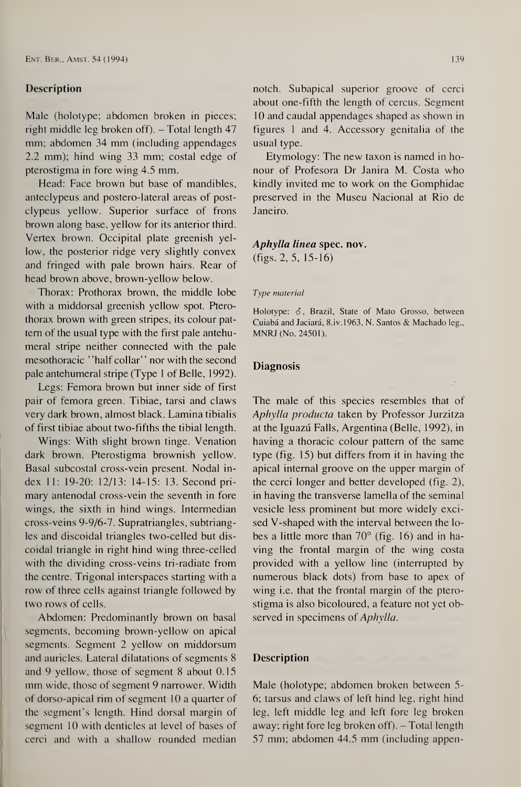#### Description

Male (holotype; abdomen broken in pieces; right middle leg broken off). - Total length 47 mm; abdomen 34 mm (including appendages 2.2 mm); hind wing 33 mm; costal edge of pterostigma in fore wing 4.5 mm.

Head: Face brown but base of mandibles, anteclypeus and postero-lateral areas of postclypeus yellow. Superior surface of frons brown along base, yellow for its anterior third. Vertex brown. Occipital plate greenish yellow, the posterior ridge very slightly convex and fringed with pale brown hairs. Rear of head brown above, brown-yellow below.

Thorax: Prothorax brown, the middle lobe with a middorsal greenish yellow spot. Pterothorax brown with green stripes, its colour pattern of the usual type with the first pale antehumeral stripe neither connected with the pale mesothoracic ''half collar" nor with the second pale antehumeral stripe (Type <sup>1</sup> of Belle, 1992).

Legs: Femora brown but inner side of first pair of femora green. Tibiae, tarsi and claws very dark brown, almost black. Lamina tibialis of first tibiae about two-fifths the tibial length.

Holotype:  $\delta$ , Brazil, State of Mato Grosso, between Cuiabâ and Jaciarâ, 8.iv. 1963, N. Santos & Machado leg., MNRJ (No. 24501).

#### **Diagnosis**

Wings: With slight brown tinge. Venation dark brown. Pterostigma brownish yellow. Basal subcostal cross-vein present. Nodal in dex 11: 19-20: 12/13: 14-15: 13. Second primary antenodal cross-vein the seventh in fore wings, the sixth in hind wings. Intermedian cross-veins 9-9/6-7. Supratriangles, subtriangles and discoidal triangles two-celled but discoidal triangle in right hind wing three-celled with the dividing cross-veins tri-radiate from the centre. Trigonal interspaces starting with a row of three cells against triangle followed by two rows of cells.

Abdomen: Predominantly brown on basal

segments, becoming brown-yellow on apical segments. Segment 2 yellow on middorsum and auricles. Lateral dilatations of segments 8 and 9 yellow, those of segment 8 about 0.15 mm wide, those of segment 9 narrower. Width of dorso-apical rim of segment 10 a quarter of the segment's length. Hind dorsal margin of segment 10 with denticles at level of bases of cerci and with a shallow rounded median

notch. Subapical superior groove of cerci about one-fifth the length of cercus. Segment 10 and caudal appendages shaped as shown in figures <sup>1</sup> and 4. Accessory genitalia of the usual type.

Etymology: The new taxon is named in ho nour of Profesora Dr Janira M. Costa who kindly invited me to work on the Gomphidae preserved in the Museu Nacional at Rio de Janeiro.

# Aphylla linea spec. nov.

 $(figs. 2, 5, 15-16)$ 

#### Type material

The male of this species resembles that of Aphylla producta taken by Professor Jurzitza at the Iguazü Falls, Argentina (Belle, 1992), in having a thoracic colour pattern of the same type (fig. 15) but differs from it in having the apical internal groove on the upper margin of the cerci longer and better developed (fig. 2), in having the transverse lamella of the seminal vesicle less prominent but more widely excised V-shaped with the interval between the lobes a little more than  $70^{\circ}$  (fig. 16) and in having the frontal margin of the wing costa provided with a yellow line (interrupted by numerous black dots) from base to apex of wing i.e. that the frontal margin of the pterostigma is also bicoloured, a feature not yet observed in specimens of Aphylla.

# Description

Male (holotype; abdomen broken between 5- 6; tarsus and claws of left hind leg, right hind leg, left middle leg and left fore leg broken away; right fore leg broken off). - Total length 57 mm; abdomen 44.5 mm (including appen-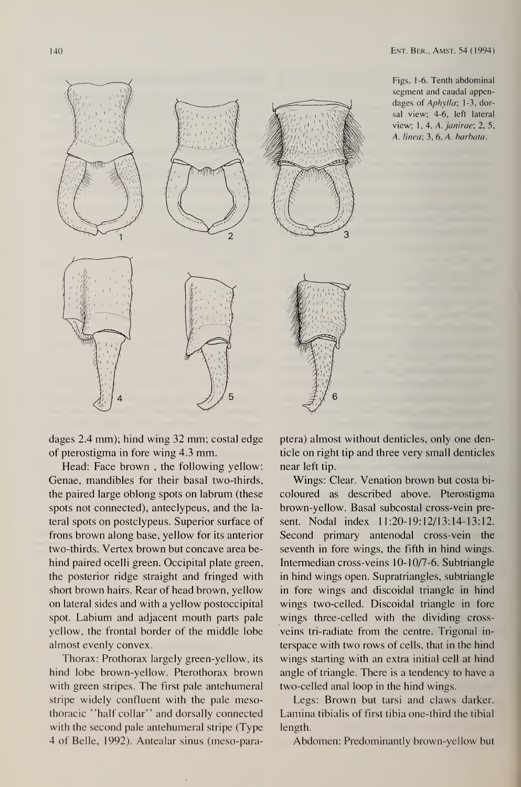Figs. 1-6. Tenth abdominal segment and caudal appendages of *Aphylla*; 1-3, dorsal view; 4-6, left lateral view; 1, 4, A. janirae; 2, 5, A. linea; 3, 6, A. barbata.



dages 2.4 mm); hind wing 32 mm; costal edge of pterostigma in fore wing 4.3 mm.

Head: Face brown , the following yellow: Genae, mandibles for their basal two-thirds, the paired large oblong spots on labrum (these spots not connected), anteclypeus, and the lateral spots on postclypeus. Superior surface of frons brown along base, yellow for its anterior two-thirds. Vertex brown but concave area behind paired ocelli green. Occipital plate green, the posterior ridge straight and fringed with short brown hairs. Rear of head brown, yellow on lateral sides and with a yellow postoccipital spot. Labium and adjacent mouth parts pale

yellow, the frontal border of the middle lobe almost evenly convex.

Thorax: Prothorax largely green-yellow, its hind lobe brown-yellow. Pterothorax brown with green stripes. The first pale antehumeral stripe widely confluent with the pale mesothoracic ''half collar" and dorsally connected with the second pale antehumeral stripe (Type 4 of Belle, 1992). Antealar sinus (meso-para-

Wings: Clear. Venation brown but costa bicoloured as described above. Pterostigma brown-yellow. Basal subcostal cross-vein pre sent. Nodal index 11:20-19:12/13:14-13:12. Second primary antenodal cross-vein the seventh in fore wings, the fifth in hind wings. Intermedian cross-veins 10-10/7-6. Subtriangle in hind wings open. Supratriangles, subtriangle in fore wings and discoidal triangle in hind wings two-celled. Discoidal triangle in fore wings three-celled with the dividing crossveins tri-radiate from the centre. Trigonal interspace with two rows of cells, that in the hind wings starting with an extra initial cell at hind angle of triangle. There is a tendency to have a two-celled anal loop in the hind wings. Legs: Brown but tarsi and claws darker. Lamina tibialis of first tibia one-third the tibial length.

ptera) almost without denticles, only one den ticle on right tip and three very small denticles near left tip.

Abdomen: Predominantly brown-yellow but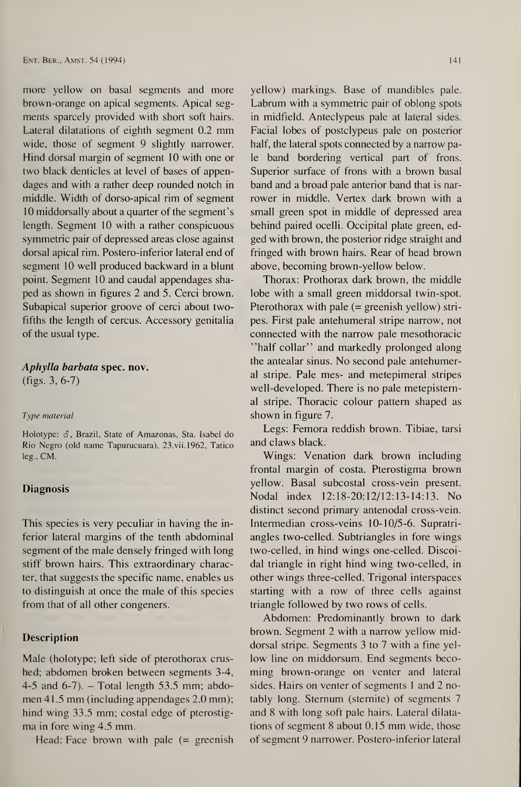more yellow on basal segments and more brown-orange on apical segments. Apical segments sparcely provided with short soft hairs. Lateral dilatations of eighth segment 0.2 mm wide, those of segment 9 slightly narrower. Hind dorsal margin of segment 10 with one or two black denticles at level of bases of appendages and with a rather deep rounded notch in middle. Width of dorso-apical rim of segment 10 middorsally about a quarter of the segment's length. Segment 10 with a rather conspicuous symmetric pair of depressed areas close against dorsal apical rim. Postero-inferior lateral end of segment 10 well produced backward in a blunt point. Segment 10 and caudal appendages shaped as shown in figures 2 and 5. Cerci brown. Subapical superior groove of cerci about twofifths the length of cercus. Accessory genitalia of the usual type.

Holotype:  $\delta$ , Brazil, State of Amazonas, Sta. Isabel do Rio Negro (old name Tapurucuara), 23.vii.1962, Tatico leg., CM.

#### **Diagnosis**

This species is very peculiar in having the inferior lateral margins of the tenth abdominal segment of the male densely fringed with long stiff brown hairs. This extraordinary character, that suggests the specific name, enables us to distinguish at once the male of this species from that of all other congeners.

Male (holotype; left side of pterothorax crushed; abdomen broken between segments 3-4, 4-5 and 6-7).  $-$  Total length 53.5 mm; abdomen 41.5 mm (including appendages 2.0 mm); hind wing 33.5 mm; costal edge of pterostigma in fore wing 4.5 mm.

Head: Face brown with pale  $(=$  greenish

# Aphylla barbata spec. nov. (figs. 3, 6-7)

#### Type material

#### Description

brown. Segment 2 with a narrow yellow middorsal stripe. Segments 3 to 7 with a fine yellow line on middorsum. End segments becoming brown-orange on venter and lateral sides. Hairs on venter of segments 1 and 2 notably long. Sternum (stemite) of segments 7 and 8 with long soft pale hairs. Lateral dilatations of segment 8 about 0.15 mm wide, those of segment 9 narrower. Postero-inferior lateral

yellow) markings. Base of mandibles pale. Labrum with a symmetric pair of oblong spots in midfield. Anteclypeus pale at lateral sides. Facial lobes of postclypeus pale on posterior half, the lateral spots connected by a narrow pale band bordering vertical part of frons. Superior surface of frons with a brown basal band and a broad pale anterior band that is narrower in middle. Vertex dark brown with a small green spot in middle of depressed area behind paired ocelli. Occipital plate green, edged with brown, the posterior ridge straight and fringed with brown hairs. Rear of head brown above, becoming brown-yellow below.

Thorax; Prothorax dark brown, the middle lobe with a small green middorsal twin-spot. Pterothorax with pale  $(=$  greenish yellow) stripes. First pale antehumeral stripe narrow, not connected with the narrow pale mesothoracic "half collar" and markedly prolonged along the antealar sinus. No second pale antehumeral stripe. Pale mes- and metepimeral stripes well-developed. There is no pale metepistemal stripe. Thoracic colour pattern shaped as shown in figure 7.

Legs; Femora reddish brown. Tibiae, tarsi and claws black.

Wings: Venation dark brown including frontal margin of costa. Pterostigma brown yellow. Basal subcostal cross-vein present. Nodal index 12:18-20:12/12:13-14:13. No distinct second primary antenodal cross-vein. Intermedian cross-veins 10-10/5-6. Supratriangles two-celled. Subtriangles in fore wings two-celled, in hind wings one-celled. Discoidal triangle in right hind wing two-celled, in other wings three-celled. Trigonal interspaces starting with a row of three cells against triangle followed by two rows of cells.

Abdomen: Predominantly brown to dark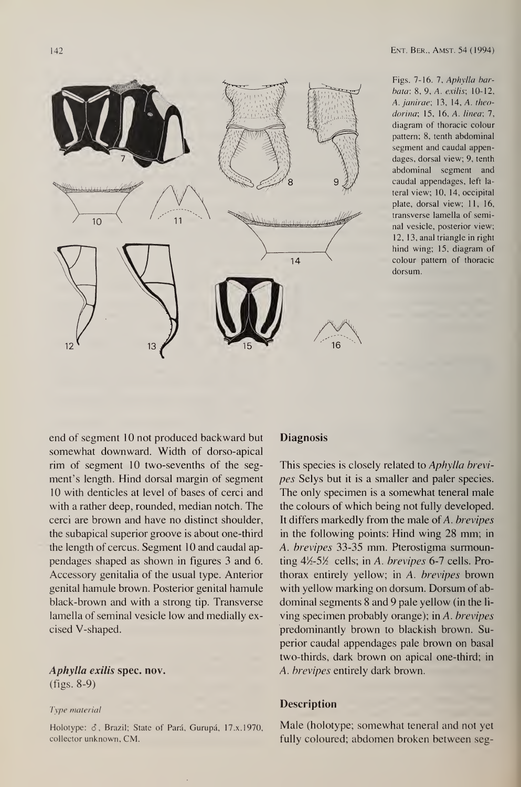

Figs.  $7-16.$  7, Aphylla barbota: 8, 9, A. exilis; 10-12, A. janirae; 13, 14, A. theodorina; 15, 16, A. linea; 7, diagram of thoracic colour pattern; 8, tenth abdominal segment and caudal appendages, dorsal view; 9, tenth abdominal segment and caudal appendages, left lateral view; 10, 14, occipital plate, dorsal view; 11, 16, transverse lamella of seminal vesicle, posterior view; 12, 13, anal triangle in right hind wing; 15, diagram of colour pattern of thoracic dorsum.

end of segment 10 not produced backward but somewhat downward. Width of dorso-apical rim of segment 10 two-sevenths of the segment's length. Hind dorsal margin of segment 10 with denticles at level of bases of cerci and with a rather deep, rounded, median notch. The cerci are brown and have no distinct shoulder, the subapical superior groove is about one-third the length of cercus. Segment 10 and caudal appendages shaped as shown in figures 3 and 6. Accessory genitalia of the usual type. Anterior genital hamule brown. Posterior genital hamule black-brown and with a strong tip. Transverse lamella of seminal vesicle low and medially ex-

# **Diagnosis**

Holotype:  $\delta$ , Brazil; State of Pará, Gurupá, 17.x.1970, collector unknown, CM.

This species is closely related to Aphylla brevipes Selys but it is a smaller and paler species. The only specimen is a somewhat teneral male the colours of which being not fully developed. It differs markedly from the male of  $A$ . brevipes in the following points: Hind wing 28 mm; in A. brevipes 33-35 mm. Pterostigma surmounting  $4\frac{1}{2}$ -5 $\frac{1}{2}$  cells; in A. brevipes 6-7 cells. Prothorax entirely yellow; in A. brevipes brown with yellow marking on dorsum. Dorsum of abdominal segments 8 and 9 pale yellow (in the living specimen probably orange); in A. brevipes predominantly brown to blackish brown. Superior caudal appendages pale brown on basal two-thirds, dark brown on apical one-third; in A. brevipes entirely dark brown.

cised V-shaped.

# Aphylla exilis spec. nov. (figs. 8-9)

Type material

Description

Male (holotype; somewhat teneral and not yet fully coloured; abdomen broken between seg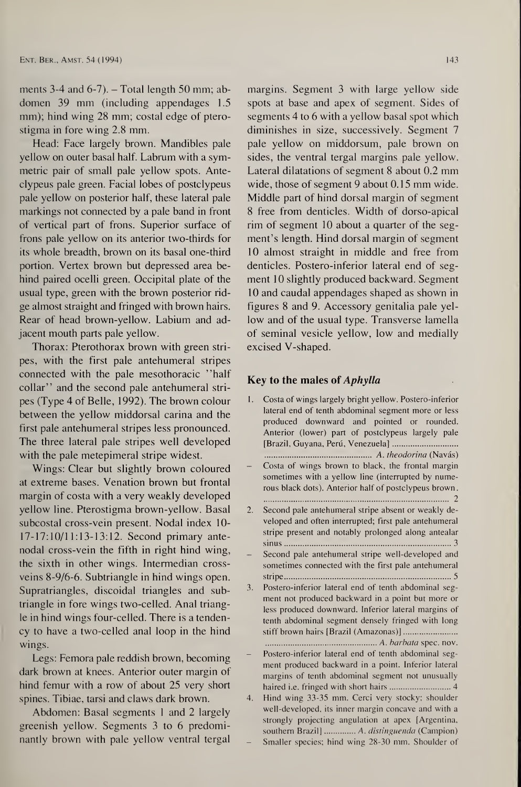ments 3-4 and  $6-7$ ).  $-$  Total length 50 mm; abdomen 39 mm (including appendages 1.5 mm); hind wing 28 mm; costal edge of pterostigma in fore wing 2.8 mm.

Head: Face largely brown. Mandibles pale yellow on outer basal half. Labrum with a symmetric pair of small pale yellow spots. Anteclypeus pale green. Facial lobes of postclypeus pale yellow on posterior half, these lateral pale markings not connected by a pale band in front of vertical part of frons. Superior surface of frons pale yellow on its anterior two-thirds for its whole breadth, brown on its basal one-third portion. Vertex brown but depressed area behind paired ocelli green. Occipital plate of the usual type, green with the brown posterior ridge almost straight and fringed with brown hairs. Rear of head brown-yellow. Labium and adjacent mouth parts pale yellow.

Thorax: Pterothorax brown with green stripes, with the first pale antehumeral stripes connected with the pale mesothoracic ''half collar" and the second pale antehumeral stripes (Type 4 of Belle, 1992). The brown colour between the yellow middorsal carina and the first pale antehumeral stripes less pronounced. The three lateral pale stripes well developed with the pale metepimeral stripe widest.

Wings: Clear but slightly brown coloured at extreme bases. Venation brown but frontal margin of costa with a very weakly developed yellow line. Pterostigma brown-yellow. Basal subcostal cross-vein present. Nodal index 10- 17-17:10/11:13-13:12. Second primary antenodal cross-vein the fifth in right hind wing, the sixth in other wings. Intermedian crossveins 8-9/6-6. Subtriangle in hind wings open. Supratriangles, discoidal triangles and subtriangle in fore wings two-celled. Anal triangle in hind wings four-celled. There is a tenden-

margins. Segment 3 with large yellow side spots at base and apex of segment. Sides of segments 4 to 6 with a yellow basal spot which diminishes in size, successively. Segment 7 pale yellow on middorsum, pale brown on sides, the ventral tergal margins pale yellow. Lateral dilatations of segment 8 about 0.2 mm wide, those of segment 9 about 0.15 mm wide. Middle part of hind dorsal margin of segment 8 free from denticles. Width of dorso-apical rim of segment 10 about a quarter of the segment's length. Hind dorsal margin of segment 10 almost straight in middle and free from denticles. Postero-inferior lateral end of segment 10 slightly produced backward. Segment 10 and caudal appendages shaped as shown in figures 8 and 9. Accessory genitalia pale yellow and of the usual type. Transverse lamella of seminal vesicle yellow, low and medially excised V-shaped. between middorsun<br>s, the ventral tergal maniforms, the ventral tergal maniforms of segment 9 at<br>dle part of hind dorsal<br>ee from denticles. Wicrosof segment 10 about a<br>division of segment 10 about a<br>division of segment 10 a rgins. Segment 3 with large yellow sistant based and apex of segment. Sides<br>membas 4 to 6 with a yellow based spot whis missines in size, successively. Segment yellow on middorsum, pale brown as, the ventral tergal margin

#### Key to the males of *Aphylla*

cy to have a two-celled anal loop in the hind wings.

Legs: Femora pale reddish brown, becoming dark brown at knees. Anterior outer margin of hind femur with a row of about 25 very short spines. Tibiae, tarsi and claws dark brown. Abdomen: Basal segments <sup>1</sup> and 2 largely greenish yellow. Segments 3 to 6 predominantly brown with pale yellow ventral tergal

enth abdominal segment densely fringed with long<br>stiff brown hairs [Brazil (Amazonas)]........................... A. barbata spec. nov.

Postero-inferior lateral end of tenth abdominal segment produced backward in a point. Inferior lateral margins of tenth abdominal segment not unusually haired i.e. fringed with short hairs............................... 4 4. Hind wing 33-35 mm. Cerci very stocky; shoulder well-developed, its inner margin concave and with a strongly projecting angulation at apex [Argentina, southern Brazil]............... A. distinguenda (Campion) Smaller species; hind wing 28-30 mm. Shoulder of

- 1. Costa of wings largely bright yellow. Postero-inferior lateral end of tenth abdominal segment more or less produced downward and pointed or rounded. Anterior (lower) part of postclypeus largely pale Guyana, Peru, Venezuela]. [Brazil, A. theodorina (Navas) Costa of wings brown to black, the frontal margin sometimes with a yellow line (interrupted by numerous black dots). Anterior half of postclypeus brown. 2 2. Second pale antehumeral stripe absent or weakly developed and often interrupted; first pale antehumeral stripe present and notably prolonged along antealar sinus.3 - Second pale antehumeral stripe well-developed and sometimes connected with the first pale antehumeral stripe.5 3. Postero-inferior lateral end of tenth abdominal seg-**Example 18 and 3.** Freedsbarry and of the usual type. T<br>eminal vesicle yellow, sed V-shaped.<br> **to the males of Aphylli** yateral end of tenth abdominal<br>
roduced downward and p<br>
Anterior (lower) part of pos<br>
Brazil, Guyana
- ment not produced backward in a point but more or less produced downward. Inferior lateral margins of tenth abdominal segment densely fringed with long